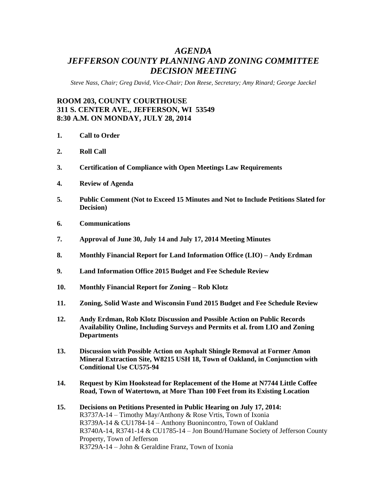# *AGENDA JEFFERSON COUNTY PLANNING AND ZONING COMMITTEE DECISION MEETING*

*Steve Nass, Chair; Greg David, Vice-Chair; Don Reese, Secretary; Amy Rinard; George Jaeckel*

## **ROOM 203, COUNTY COURTHOUSE 311 S. CENTER AVE., JEFFERSON, WI 53549 8:30 A.M. ON MONDAY, JULY 28, 2014**

- **1. Call to Order**
- **2. Roll Call**
- **3. Certification of Compliance with Open Meetings Law Requirements**
- **4. Review of Agenda**
- **5. Public Comment (Not to Exceed 15 Minutes and Not to Include Petitions Slated for Decision)**
- **6. Communications**
- **7. Approval of June 30, July 14 and July 17, 2014 Meeting Minutes**
- **8. Monthly Financial Report for Land Information Office (LIO) – Andy Erdman**
- **9. Land Information Office 2015 Budget and Fee Schedule Review**
- **10. Monthly Financial Report for Zoning – Rob Klotz**
- **11. Zoning, Solid Waste and Wisconsin Fund 2015 Budget and Fee Schedule Review**
- **12. Andy Erdman, Rob Klotz Discussion and Possible Action on Public Records Availability Online, Including Surveys and Permits et al. from LIO and Zoning Departments**
- **13. Discussion with Possible Action on Asphalt Shingle Removal at Former Amon Mineral Extraction Site, W8215 USH 18, Town of Oakland, in Conjunction with Conditional Use CU575-94**
- **14. Request by Kim Hookstead for Replacement of the Home at N7744 Little Coffee Road, Town of Watertown, at More Than 100 Feet from its Existing Location**
- **15. Decisions on Petitions Presented in Public Hearing on July 17, 2014:** R3737A-14 – Timothy May/Anthony & Rose Vrtis, Town of Ixonia R3739A-14 & CU1784-14 – Anthony Buonincontro, Town of Oakland R3740A-14, R3741-14 & CU1785-14 – Jon Bound/Humane Society of Jefferson County Property, Town of Jefferson R3729A-14 – John & Geraldine Franz, Town of Ixonia